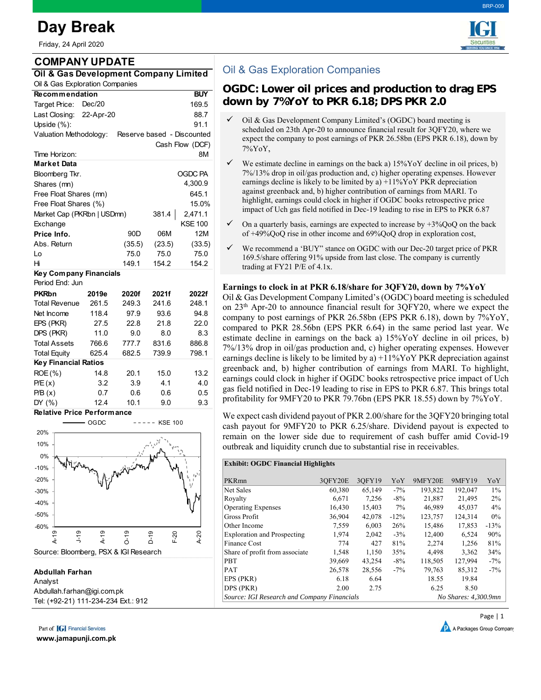# **Day Break**

| Friday, 24 April 2020                                |            |                 |        |                 |  |  |  |  |  |  |
|------------------------------------------------------|------------|-----------------|--------|-----------------|--|--|--|--|--|--|
| <b>COMPANY UPDATE</b>                                |            |                 |        |                 |  |  |  |  |  |  |
| Oil & Gas Development Company Limited                |            |                 |        |                 |  |  |  |  |  |  |
| Oil & Gas Exploration Companies                      |            |                 |        |                 |  |  |  |  |  |  |
| <b>Recommendation</b>                                | <b>BUY</b> |                 |        |                 |  |  |  |  |  |  |
| Target Price:                                        | Dec/20     |                 |        | 169.5           |  |  |  |  |  |  |
| Last Closing:                                        | 22-Apr-20  |                 | 88.7   |                 |  |  |  |  |  |  |
| Upside $(%):$                                        |            |                 |        | 91.1            |  |  |  |  |  |  |
| Valuation Methodology:<br>Reserve based - Discounted |            |                 |        |                 |  |  |  |  |  |  |
|                                                      |            |                 |        | Cash Flow (DCF) |  |  |  |  |  |  |
| Time Horizon:                                        |            |                 |        | 8М              |  |  |  |  |  |  |
| Market Data                                          |            |                 |        |                 |  |  |  |  |  |  |
| OGDC PA<br>Bloomberg Tkr.                            |            |                 |        |                 |  |  |  |  |  |  |
| 4,300.9<br>Shares (mn)                               |            |                 |        |                 |  |  |  |  |  |  |
| Free Float Shares (mn)                               |            | 645.1           |        |                 |  |  |  |  |  |  |
| Free Float Shares (%)                                |            | 15.0%           |        |                 |  |  |  |  |  |  |
| Market Cap (PKRbn   USDmn)<br>381.4<br>2,471.1       |            |                 |        |                 |  |  |  |  |  |  |
| Exchange                                             |            |                 |        | KSE 100         |  |  |  |  |  |  |
| Price Info.                                          |            | 90 <sub>D</sub> | 06M    | 12M             |  |  |  |  |  |  |
| Abs. Return                                          |            | (35.5)          | (23.5) | (33.5)          |  |  |  |  |  |  |
| Lo                                                   |            | 75.0            | 75.0   | 75.0            |  |  |  |  |  |  |
| Hi                                                   |            | 149.1           | 154.2  | 154.2           |  |  |  |  |  |  |
| Key Company Financials                               |            |                 |        |                 |  |  |  |  |  |  |
| Period End: Jun                                      |            |                 |        |                 |  |  |  |  |  |  |
| <b>PKRbn</b>                                         | 2019e      | 2020f           | 2021f  | 2022f           |  |  |  |  |  |  |
| <b>Total Revenue</b>                                 | 261.5      | 249.3           | 241.6  | 248.1           |  |  |  |  |  |  |
| Net Income                                           | 118.4      | 97.9            | 93.6   | 94.8            |  |  |  |  |  |  |
| EPS (PKR)                                            | 27.5       | 22.8            | 21.8   | 22.0            |  |  |  |  |  |  |
| DPS (PKR)                                            | 11.0       | 9.0             | 8.0    | 8.3             |  |  |  |  |  |  |
| <b>Total Assets</b>                                  | 766.6      | 777.7           | 831.6  | 886.8           |  |  |  |  |  |  |
| <b>Total Equity</b>                                  | 625.4      | 682.5           | 739.9  | 798.1           |  |  |  |  |  |  |
| <b>Key Financial Ratios</b>                          |            |                 |        |                 |  |  |  |  |  |  |
| ROE (%)                                              | 14.8       | 20.1            | 15.0   | 13.2            |  |  |  |  |  |  |
| P/E(x)                                               | 3.2        | 3.9             | 4.1    | 4.0             |  |  |  |  |  |  |
| P/B(x)                                               | 0.7        | 0.6             | 0.6    | 0.5             |  |  |  |  |  |  |
| DY (%)                                               | 12.4       | 10.1            | 9.0    | 9.3             |  |  |  |  |  |  |
| <b>Relative Price Performance</b>                    |            |                 |        |                 |  |  |  |  |  |  |

-20%  $-10%$ 0% 10% 20% OGDC ----- KSE 100



#### **Abdullah Farhan**

Analyst Abdullah.farhan@igi.com.pk Tel: (+92-21) 111-234-234 Ext.: 912

Part of **[G]** Financial Services

**www.jamapunji.com.pk**



# Oil & Gas Exploration Companies

## **OGDC: Lower oil prices and production to drag EPS down by 7%YoY to PKR 6.18; DPS PKR 2.0**

- Oil & Gas Development Company Limited's (OGDC) board meeting is scheduled on 23th Apr-20 to announce financial result for 3QFY20, where we expect the company to post earnings of PKR 26.58bn (EPS PKR 6.18), down by 7%YoY,
- $\checkmark$  We estimate decline in earnings on the back a) 15%YoY decline in oil prices, b) 7%/13% drop in oil/gas production and, c) higher operating expenses. However earnings decline is likely to be limited by a)  $+11\%$  Yo Y PKR depreciation against greenback and, b) higher contribution of earnings from MARI. To highlight, earnings could clock in higher if OGDC books retrospective price impact of Uch gas field notified in Dec-19 leading to rise in EPS to PKR 6.87
- $\checkmark$  On a quarterly basis, earnings are expected to increase by  $+3\%$ QoQ on the back of +49%QoQ rise in other income and 69%QoQ drop in exploration cost,
- $\checkmark$  We recommend a 'BUY" stance on OGDC with our Dec-20 target price of PKR 169.5/share offering 91% upside from last close. The company is currently trading at FY21 P/E of 4.1x.

### **Earnings to clock in at PKR 6.18/share for 3QFY20, down by 7%YoY**

Oil & Gas Development Company Limited's (OGDC) board meeting is scheduled on 23th Apr-20 to announce financial result for 3QFY20, where we expect the company to post earnings of PKR 26.58bn (EPS PKR 6.18), down by 7%YoY, compared to PKR 28.56bn (EPS PKR 6.64) in the same period last year. We estimate decline in earnings on the back a) 15%YoY decline in oil prices, b) 7%/13% drop in oil/gas production and, c) higher operating expenses. However earnings decline is likely to be limited by a)  $+11\%$ YoY PKR depreciation against greenback and, b) higher contribution of earnings from MARI. To highlight, earnings could clock in higher if OGDC books retrospective price impact of Uch gas field notified in Dec-19 leading to rise in EPS to PKR 6.87. This brings total profitability for 9MFY20 to PKR 79.76bn (EPS PKR 18.55) down by 7%YoY.

We expect cash dividend payout of PKR 2.00/share for the 3QFY20 bringing total cash payout for 9MFY20 to PKR 6.25/share. Dividend payout is expected to remain on the lower side due to requirement of cash buffer amid Covid-19 outbreak and liquidity crunch due to substantial rise in receivables.

#### **Exhibit: OGDC Financial Highlights**

| PKRmn                                       | 3OFY20E | 3OFY19 | YoY     | 9MFY20E | 9MFY19               | YoY    |  |
|---------------------------------------------|---------|--------|---------|---------|----------------------|--------|--|
| Net Sales                                   | 60.380  | 65,149 | $-7\%$  | 193.822 | 192,047              | $1\%$  |  |
| Royalty                                     | 6.671   | 7,256  | $-8%$   | 21,887  | 21.495               | 2%     |  |
| <b>Operating Expenses</b>                   | 16.430  | 15.403 | $7\%$   | 46.989  | 45,037               | 4%     |  |
| Gross Profit                                | 36,904  | 42,078 | $-12\%$ | 123,757 | 124,314              | $0\%$  |  |
| Other Income                                | 7.559   | 6.003  | 26%     | 15.486  | 17,853               | $-13%$ |  |
| <b>Exploration and Prospecting</b>          | 1,974   | 2,042  | $-3\%$  | 12,400  | 6,524                | 90%    |  |
| Finance Cost                                | 774     | 427    | 81%     | 2.274   | 1.256                | 81%    |  |
| Share of profit from associate              | 1,548   | 1,150  | 35%     | 4,498   | 3,362                | 34%    |  |
| <b>PBT</b>                                  | 39,669  | 43.254 | $-8\%$  | 118,505 | 127,994              | $-7\%$ |  |
| PAT                                         | 26,578  | 28,556 | $-7\%$  | 79,763  | 85,312               | $-7\%$ |  |
| EPS (PKR)                                   | 6.18    | 6.64   |         | 18.55   | 19.84                |        |  |
| DPS (PKR)                                   | 2.00    | 2.75   |         | 6.25    | 8.50                 |        |  |
| Source: IGI Research and Company Financials |         |        |         |         | No Shares: 4,300.9mn |        |  |